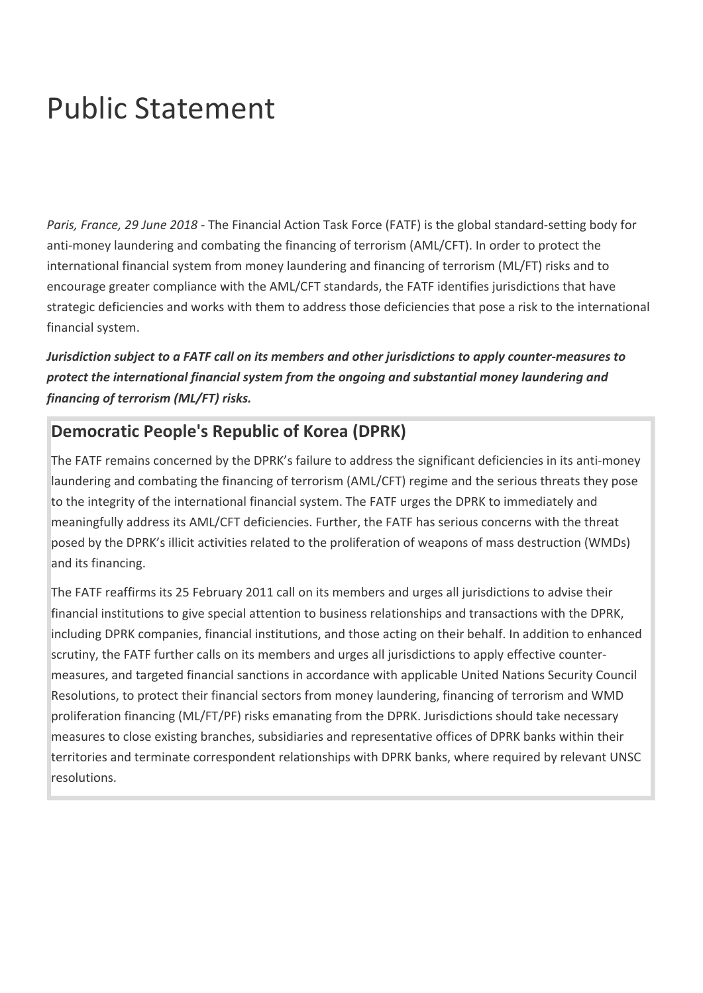## Public Statement

*Paris, France, 29 June 2018* - The Financial Action Task Force (FATF) is the global standard-setting body for anti-money laundering and combating the financing of terrorism (AML/CFT). In order to protect the international financial system from money laundering and financing of terrorism (ML/FT) risks and to encourage greater compliance with the AML/CFT standards, the FATF identifies jurisdictions that have strategic deficiencies and works with them to address those deficiencies that pose a risk to the international financial system.

*Jurisdiction subject to a FATF call on its members and other jurisdictions to apply counter-measures to protect the international financial system from the ongoing and substantial money laundering and financing of terrorism (ML/FT) risks.*

## **Democratic People's Republic of Korea (DPRK)**

The FATF remains concerned by the DPRK's failure to address the significant deficiencies in its anti-money laundering and combating the financing of terrorism (AML/CFT) regime and the serious threats they pose to the integrity of the international financial system. The FATF urges the DPRK to immediately and meaningfully address its AML/CFT deficiencies. Further, the FATF has serious concerns with the threat posed by the DPRK's illicit activities related to the proliferation of weapons of mass destruction (WMDs) and its financing.

The FATF reaffirms its 25 February 2011 call on its members and urges all jurisdictions to advise their financial institutions to give special attention to business relationships and transactions with the DPRK, including DPRK companies, financial institutions, and those acting on their behalf. In addition to enhanced scrutiny, the FATF further calls on its members and urges all jurisdictions to apply effective countermeasures, and targeted financial sanctions in accordance with applicable United Nations Security Council Resolutions, to protect their financial sectors from money laundering, financing of terrorism and WMD proliferation financing (ML/FT/PF) risks emanating from the DPRK. Jurisdictions should take necessary measures to close existing branches, subsidiaries and representative offices of DPRK banks within their territories and terminate correspondent relationships with DPRK banks, where required by relevant UNSC resolutions.